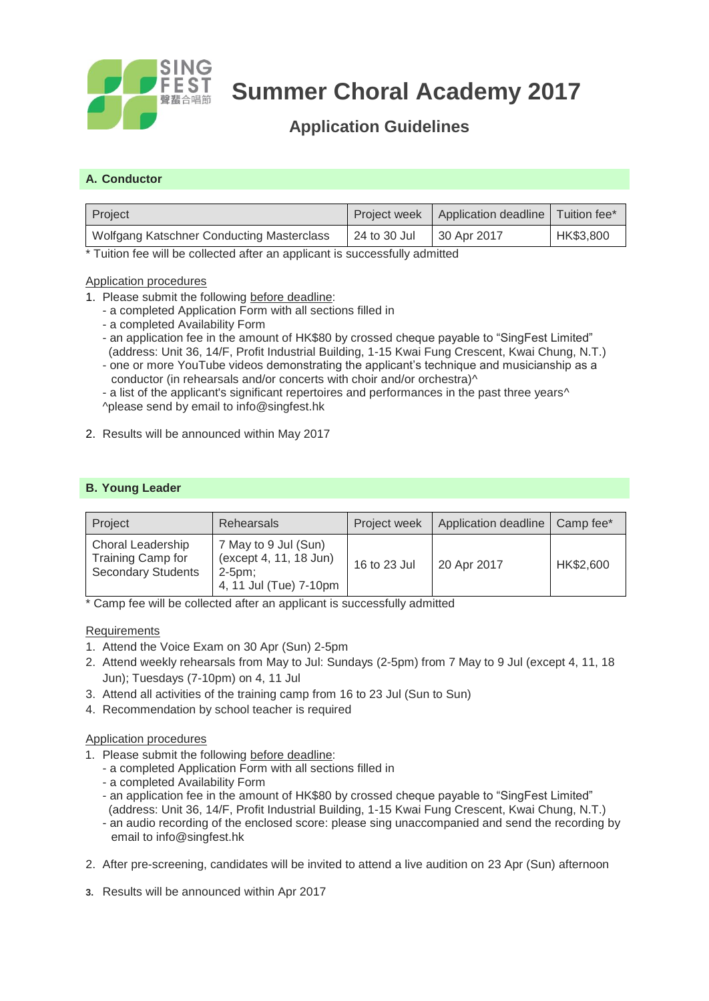

**Summer Choral Academy 2017**

# **Application Guidelines**

# **A. Conductor**

| Project                                          | Project week | Application deadline   Tuition fee* |           |
|--------------------------------------------------|--------------|-------------------------------------|-----------|
| <b>Wolfgang Katschner Conducting Masterclass</b> | 24 to 30 Jul | 30 Apr 2017                         | HK\$3,800 |

\* Tuition fee will be collected after an applicant is successfully admitted

#### Application procedures

- 1. Please submit the following before deadline:
	- a completed [Application Form](http://goo.gl/forms/UqxPIVAD6M) with all sections filled in
	- a completed [Availability Form](http://goo.gl/forms/B63Ng5kBvP)
	- an application fee in the amount of HK\$80 by crossed cheque payable to "SingFest Limited" (address: Unit 36, 14/F, Profit Industrial Building, 1-15 Kwai Fung Crescent, Kwai Chung, N.T.)
	- one or more YouTube videos demonstrating the applicant's technique and musicianship as a conductor (in rehearsals and/or concerts with choir and/or orchestra)^
	- a list of the applicant's significant repertoires and performances in the past three years<sup>^</sup>
	- ^please send by email to info@singfest.hk
- 2. Results will be announced within May 2017

#### **B. Young Leader**

| Project                                                                    | <b>Rehearsals</b>                                                                     | Project week | Application deadline | Camp fee* |
|----------------------------------------------------------------------------|---------------------------------------------------------------------------------------|--------------|----------------------|-----------|
| <b>Choral Leadership</b><br>Training Camp for<br><b>Secondary Students</b> | 7 May to 9 Jul (Sun)<br>(except 4, 11, 18 Jun)<br>$2-5pm$ :<br>4, 11 Jul (Tue) 7-10pm | 16 to 23 Jul | 20 Apr 2017          | HK\$2,600 |

\* Camp fee will be collected after an applicant is successfully admitted

## Requirements

- 1. Attend the Voice Exam on 30 Apr (Sun) 2-5pm
- 2. Attend weekly rehearsals from May to Jul: Sundays (2-5pm) from 7 May to 9 Jul (except 4, 11, 18 Jun); Tuesdays (7-10pm) on 4, 11 Jul
- 3. Attend all activities of the training camp from 16 to 23 Jul (Sun to Sun)
- 4. Recommendation by school teacher is required

## Application procedures

- 1. Please submit the following before deadline:
	- a completed [Application Form](http://goo.gl/forms/UqxPIVAD6M) with all sections filled in
	- a completed [Availability Form](http://goo.gl/forms/B63Ng5kBvP)
	- an application fee in the amount of HK\$80 by crossed cheque payable to "SingFest Limited" (address: Unit 36, 14/F, Profit Industrial Building, 1-15 Kwai Fung Crescent, Kwai Chung, N.T.)
	- an audio recording of the enclosed score: please sing unaccompanied and send the recording by email to [info@singfest.hk](mailto:info@singfest.hk)
- 2. After pre-screening, candidates will be invited to attend a live audition on 23 Apr (Sun) afternoon
- **3.** Results will be announced within Apr 2017